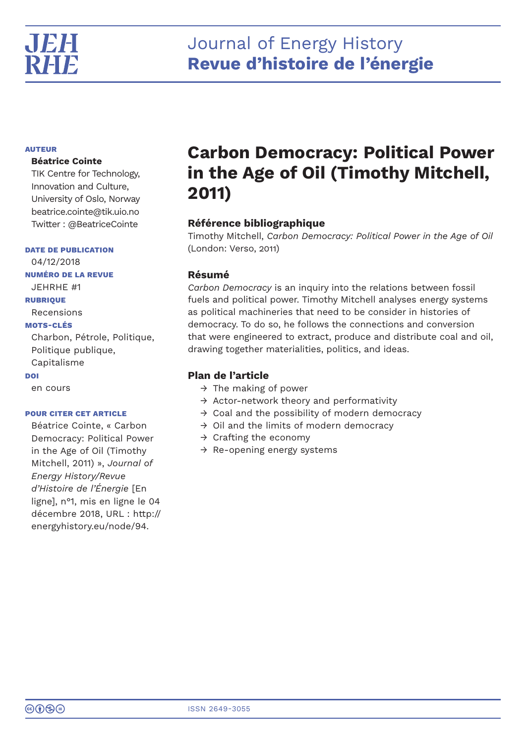## Journal of Energy History **Revue d'histoire de l'énergie**

## **AUTEUR**

## **Béatrice Cointe**

TIK Centre for Technology, Innovation and Culture, University of Oslo, Norway beatrice.cointe@tik.uio.no Twitter : @BeatriceCointe

## **DATE DE PUBLICATION**

04/12/2018 **NUMÉRO DE LA REVUE** JEHRHE #1 **RUBRIQUE** Recensions **MOTS-CLÉS** Charbon, Pétrole, Politique, Politique publique, Capitalisme **DOI** en cours

## **POUR CITER CET ARTICLE**

Béatrice Cointe, « Carbon Democracy: Political Power in the Age of Oil (Timothy Mitchell, 2011) », *Journal of Energy History/Revue d'Histoire de l'Énergie* [En ligne], n°1, mis en ligne le 04 décembre 2018, URL : http:// energyhistory.eu/node/94.

# **Carbon Democracy: Political Power in the Age of Oil (Timothy Mitchell, 2011)**

## **Référence bibliographique**

Timothy Mitchell, *Carbon Democracy: Political Power in the Age of Oil* (London: Verso, 2011)

## **Résumé**

*Carbon Democracy* is an inquiry into the relations between fossil fuels and political power. Timothy Mitchell analyses energy systems as political machineries that need to be consider in histories of democracy. To do so, he follows the connections and conversion that were engineered to extract, produce and distribute coal and oil, drawing together materialities, politics, and ideas.

## **Plan de l'article**

- $\rightarrow$  The making of power
- $\rightarrow$  Actor-network theory and performativity
- $\rightarrow$  Coal and the possibility of modern democracy
- $\rightarrow$  Oil and the limits of modern democracy
- $\rightarrow$  Crafting the economy
- $\rightarrow$  Re-opening energy systems

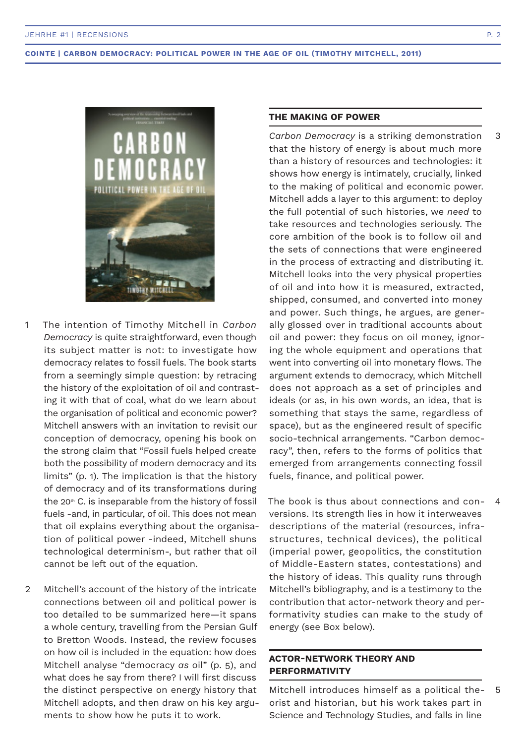

- The intention of Timothy Mitchell in *Carbon Democracy* is quite straightforward, even though its subject matter is not: to investigate how democracy relates to fossil fuels. The book starts from a seemingly simple question: by retracing the history of the exploitation of oil and contrasting it with that of coal, what do we learn about the organisation of political and economic power? Mitchell answers with an invitation to revisit our conception of democracy, opening his book on the strong claim that "Fossil fuels helped create both the possibility of modern democracy and its limits" (p. 1). The implication is that the history of democracy and of its transformations during the 20<sup>th</sup> C. is inseparable from the history of fossil fuels -and, in particular, of oil. This does not mean that oil explains everything about the organisation of political power -indeed, Mitchell shuns technological determinism-, but rather that oil cannot be left out of the equation. 1
- Mitchell's account of the history of the intricate connections between oil and political power is too detailed to be summarized here—it spans a whole century, travelling from the Persian Gulf to Bretton Woods. Instead, the review focuses on how oil is included in the equation: how does Mitchell analyse "democracy *as* oil" (p. 5), and what does he say from there? I will first discuss the distinct perspective on energy history that Mitchell adopts, and then draw on his key arguments to show how he puts it to work.  $\mathfrak{D}$

## **THE MAKING OF POWER**

*Carbon Democracy* is a striking demonstration that the history of energy is about much more than a history of resources and technologies: it shows how energy is intimately, crucially, linked to the making of political and economic power. Mitchell adds a layer to this argument: to deploy the full potential of such histories, we *need* to take resources and technologies seriously. The core ambition of the book is to follow oil and the sets of connections that were engineered in the process of extracting and distributing it. Mitchell looks into the very physical properties of oil and into how it is measured, extracted, shipped, consumed, and converted into money and power. Such things, he argues, are generally glossed over in traditional accounts about oil and power: they focus on oil money, ignoring the whole equipment and operations that went into converting oil into monetary flows. The argument extends to democracy, which Mitchell does not approach as a set of principles and ideals (or as, in his own words, an idea, that is something that stays the same, regardless of space), but as the engineered result of specific socio-technical arrangements. "Carbon democracy", then, refers to the forms of politics that emerged from arrangements connecting fossil fuels, finance, and political power.

The book is thus about connections and conversions. Its strength lies in how it interweaves descriptions of the material (resources, infrastructures, technical devices), the political (imperial power, geopolitics, the constitution of Middle-Eastern states, contestations) and the history of ideas. This quality runs through Mitchell's bibliography, and is a testimony to the contribution that actor-network theory and performativity studies can make to the study of energy (see Box below).  $\Delta$ 

## **ACTOR-NETWORK THEORY AND PERFORMATIVITY**

Mitchell introduces himself as a political theorist and historian, but his work takes part in Science and Technology Studies, and falls in line 5

3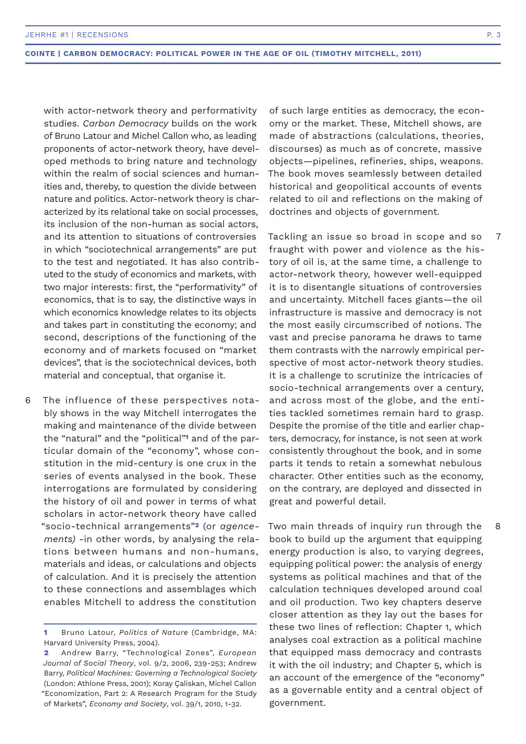with actor-network theory and performativity studies. *Carbon Democracy* builds on the work of Bruno Latour and Michel Callon who, as leading proponents of actor-network theory, have developed methods to bring nature and technology within the realm of social sciences and humanities and, thereby, to question the divide between nature and politics. Actor-network theory is characterized by its relational take on social processes, its inclusion of the non-human as social actors, and its attention to situations of controversies in which "sociotechnical arrangements" are put to the test and negotiated. It has also contributed to the study of economics and markets, with two major interests: first, the "performativity" of economics, that is to say, the distinctive ways in which economics knowledge relates to its objects and takes part in constituting the economy; and second, descriptions of the functioning of the economy and of markets focused on "market devices", that is the sociotechnical devices, both material and conceptual, that organise it.

The influence of these perspectives notably shows in the way Mitchell interrogates the making and maintenance of the divide between the "natural" and the "political"**1** and of the particular domain of the "economy", whose constitution in the mid-century is one crux in the series of events analysed in the book. These interrogations are formulated by considering the history of oil and power in terms of what scholars in actor-network theory have called "socio-technical arrangements"**2** (or *agencements)* -in other words, by analysing the relations between humans and non-humans, materials and ideas, or calculations and objects of calculation. And it is precisely the attention to these connections and assemblages which enables Mitchell to address the constitution 6

of such large entities as democracy, the economy or the market. These, Mitchell shows, are made of abstractions (calculations, theories, discourses) as much as of concrete, massive objects—pipelines, refineries, ships, weapons. The book moves seamlessly between detailed historical and geopolitical accounts of events related to oil and reflections on the making of doctrines and objects of government.

Tackling an issue so broad in scope and so fraught with power and violence as the history of oil is, at the same time, a challenge to actor-network theory, however well-equipped it is to disentangle situations of controversies and uncertainty. Mitchell faces giants—the oil infrastructure is massive and democracy is not the most easily circumscribed of notions. The vast and precise panorama he draws to tame them contrasts with the narrowly empirical perspective of most actor-network theory studies. It is a challenge to scrutinize the intricacies of socio-technical arrangements over a century, and across most of the globe, and the entities tackled sometimes remain hard to grasp. Despite the promise of the title and earlier chapters, democracy, for instance, is not seen at work consistently throughout the book, and in some parts it tends to retain a somewhat nebulous character. Other entities such as the economy, on the contrary, are deployed and dissected in great and powerful detail.

Two main threads of inquiry run through the book to build up the argument that equipping energy production is also, to varying degrees, equipping political power: the analysis of energy systems as political machines and that of the calculation techniques developed around coal and oil production. Two key chapters deserve closer attention as they lay out the bases for these two lines of reflection: Chapter 1, which analyses coal extraction as a political machine that equipped mass democracy and contrasts it with the oil industry; and Chapter 5, which is an account of the emergence of the "economy" as a governable entity and a central object of government.

7

8

**<sup>1</sup>** Bruno Latour, *Politics of Nature* (Cambridge, MA: Harvard University Press, 2004).

**<sup>2</sup>** Andrew Barry, "Technological Zones", *European Journal of Social Theory*, vol. 9/2, 2006, 239-253; Andrew Barry, *Political Machines: Governing a Technological Society*  (London: Athlone Press, 2001); Koray Çaliskan, Michel Callon "Economization, Part 2: A Research Program for the Study of Markets", *Economy and Society*, vol. 39/1, 2010, 1-32.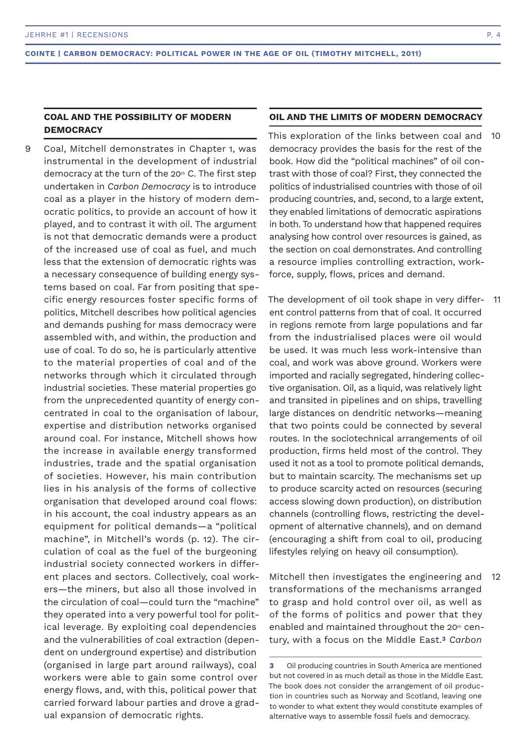## **COAL AND THE POSSIBILITY OF MODERN DEMOCRACY**

Coal, Mitchell demonstrates in Chapter 1, was instrumental in the development of industrial democracy at the turn of the 20th C. The first step undertaken in *Carbon Democracy* is to introduce coal as a player in the history of modern democratic politics, to provide an account of how it played, and to contrast it with oil. The argument is not that democratic demands were a product of the increased use of coal as fuel, and much less that the extension of democratic rights was a necessary consequence of building energy systems based on coal. Far from positing that specific energy resources foster specific forms of politics, Mitchell describes how political agencies and demands pushing for mass democracy were assembled with, and within, the production and use of coal. To do so, he is particularly attentive to the material properties of coal and of the networks through which it circulated through industrial societies. These material properties go from the unprecedented quantity of energy concentrated in coal to the organisation of labour, expertise and distribution networks organised around coal. For instance, Mitchell shows how the increase in available energy transformed industries, trade and the spatial organisation of societies. However, his main contribution lies in his analysis of the forms of collective organisation that developed around coal flows: in his account, the coal industry appears as an equipment for political demands—a "political machine", in Mitchell's words (p. 12). The circulation of coal as the fuel of the burgeoning industrial society connected workers in different places and sectors. Collectively, coal workers—the miners, but also all those involved in the circulation of coal—could turn the "machine" they operated into a very powerful tool for political leverage. By exploiting coal dependencies and the vulnerabilities of coal extraction (dependent on underground expertise) and distribution (organised in large part around railways), coal workers were able to gain some control over energy flows, and, with this, political power that carried forward labour parties and drove a gradual expansion of democratic rights. 9

#### **OIL AND THE LIMITS OF MODERN DEMOCRACY**

This exploration of the links between coal and democracy provides the basis for the rest of the book. How did the "political machines" of oil contrast with those of coal? First, they connected the politics of industrialised countries with those of oil producing countries, and, second, to a large extent, they enabled limitations of democratic aspirations in both. To understand how that happened requires analysing how control over resources is gained, as the section on coal demonstrates. And controlling a resource implies controlling extraction, workforce, supply, flows, prices and demand. 10

The development of oil took shape in very different control patterns from that of coal. It occurred in regions remote from large populations and far from the industrialised places were oil would be used. It was much less work-intensive than coal, and work was above ground. Workers were imported and racially segregated, hindering collective organisation. Oil, as a liquid, was relatively light and transited in pipelines and on ships, travelling large distances on dendritic networks—meaning that two points could be connected by several routes. In the sociotechnical arrangements of oil production, firms held most of the control. They used it not as a tool to promote political demands, but to maintain scarcity. The mechanisms set up to produce scarcity acted on resources (securing access slowing down production), on distribution channels (controlling flows, restricting the development of alternative channels), and on demand (encouraging a shift from coal to oil, producing lifestyles relying on heavy oil consumption). 11

Mitchell then investigates the engineering and transformations of the mechanisms arranged to grasp and hold control over oil, as well as of the forms of politics and power that they enabled and maintained throughout the 20th century, with a focus on the Middle East.**3** *Carbon*  12

**<sup>3</sup>** Oil producing countries in South America are mentioned but not covered in as much detail as those in the Middle East. The book does not consider the arrangement of oil production in countries such as Norway and Scotland, leaving one to wonder to what extent they would constitute examples of alternative ways to assemble fossil fuels and democracy.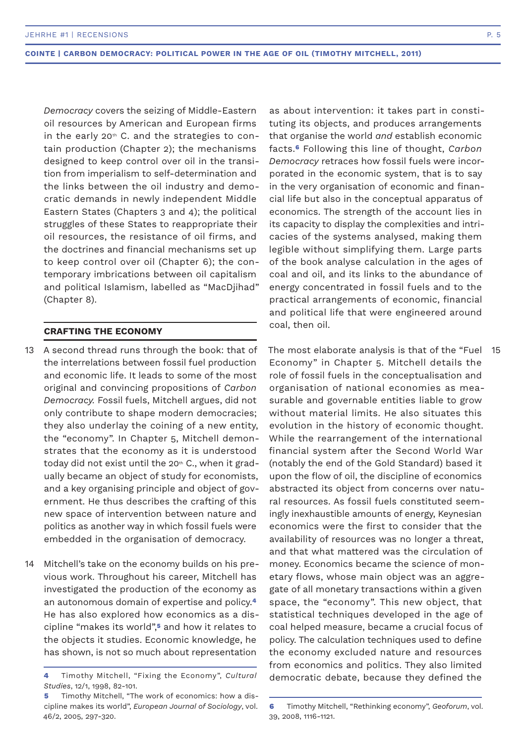*Democracy* covers the seizing of Middle-Eastern oil resources by American and European firms in the early  $20<sup>th</sup>$  C. and the strategies to contain production (Chapter 2); the mechanisms designed to keep control over oil in the transition from imperialism to self-determination and the links between the oil industry and democratic demands in newly independent Middle Eastern States (Chapters 3 and 4); the political struggles of these States to reappropriate their oil resources, the resistance of oil firms, and the doctrines and financial mechanisms set up to keep control over oil (Chapter 6); the contemporary imbrications between oil capitalism and political Islamism, labelled as "MacDjihad" (Chapter 8).

#### **CRAFTING THE ECONOMY**

- A second thread runs through the book: that of the interrelations between fossil fuel production and economic life. It leads to some of the most original and convincing propositions of *Carbon Democracy.* Fossil fuels, Mitchell argues, did not only contribute to shape modern democracies; they also underlay the coining of a new entity, the "economy". In Chapter 5, Mitchell demonstrates that the economy as it is understood today did not exist until the 20<sup>th</sup> C., when it gradually became an object of study for economists, and a key organising principle and object of government. He thus describes the crafting of this new space of intervention between nature and politics as another way in which fossil fuels were embedded in the organisation of democracy. 13  $\,$  A second thread runs through the book: that of  $\,$  The most elaborate analysis is that of the "Fuel  $\,$  15  $\,$
- Mitchell's take on the economy builds on his previous work. Throughout his career, Mitchell has investigated the production of the economy as an autonomous domain of expertise and policy.**<sup>4</sup>** He has also explored how economics as a discipline "makes its world",**5** and how it relates to the objects it studies. Economic knowledge, he has shown, is not so much about representation 14

as about intervention: it takes part in constituting its objects, and produces arrangements that organise the world *and* establish economic facts.**6** Following this line of thought, *Carbon Democracy* retraces how fossil fuels were incorporated in the economic system, that is to say in the very organisation of economic and financial life but also in the conceptual apparatus of economics. The strength of the account lies in its capacity to display the complexities and intricacies of the systems analysed, making them legible without simplifying them. Large parts of the book analyse calculation in the ages of coal and oil, and its links to the abundance of energy concentrated in fossil fuels and to the practical arrangements of economic, financial and political life that were engineered around coal, then oil.

Economy" in Chapter 5. Mitchell details the role of fossil fuels in the conceptualisation and organisation of national economies as measurable and governable entities liable to grow without material limits. He also situates this evolution in the history of economic thought. While the rearrangement of the international financial system after the Second World War (notably the end of the Gold Standard) based it upon the flow of oil, the discipline of economics abstracted its object from concerns over natural resources. As fossil fuels constituted seemingly inexhaustible amounts of energy, Keynesian economics were the first to consider that the availability of resources was no longer a threat, and that what mattered was the circulation of money. Economics became the science of monetary flows, whose main object was an aggregate of all monetary transactions within a given space, the "economy". This new object, that statistical techniques developed in the age of coal helped measure, became a crucial focus of policy. The calculation techniques used to define the economy excluded nature and resources from economics and politics. They also limited democratic debate, because they defined the

**<sup>4</sup>** Timothy Mitchell, "Fixing the Economy", *Cultural Studies*, 12/1, 1998, 82-101.

**<sup>5</sup>** Timothy Mitchell, "The work of economics: how a discipline makes its world", *European Journal of Sociology*, vol. 46/2, 2005, 297-320.

**<sup>6</sup>** Timothy Mitchell, "Rethinking economy", *Geoforum*, vol. 39, 2008, 1116-1121.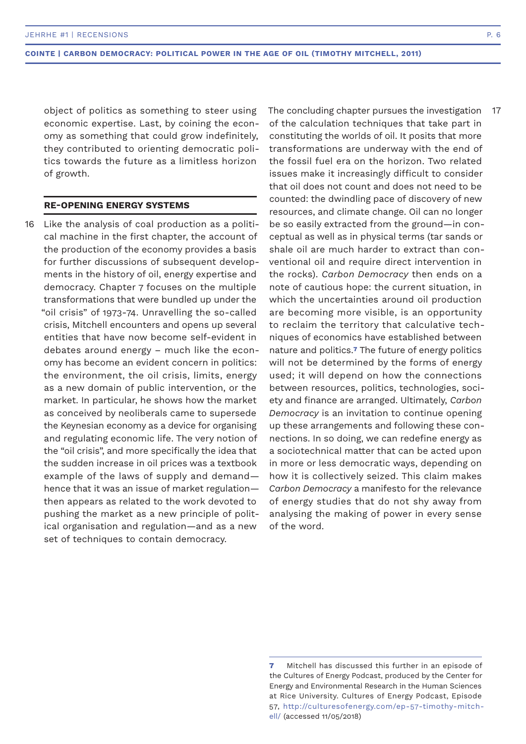object of politics as something to steer using economic expertise. Last, by coining the economy as something that could grow indefinitely, they contributed to orienting democratic politics towards the future as a limitless horizon of growth.

#### **RE-OPENING ENERGY SYSTEMS**

16 Like the analysis of coal production as a political machine in the first chapter, the account of the production of the economy provides a basis for further discussions of subsequent developments in the history of oil, energy expertise and democracy. Chapter 7 focuses on the multiple transformations that were bundled up under the "oil crisis" of 1973-74. Unravelling the so-called crisis, Mitchell encounters and opens up several entities that have now become self-evident in debates around energy – much like the economy has become an evident concern in politics: the environment, the oil crisis, limits, energy as a new domain of public intervention, or the market. In particular, he shows how the market as conceived by neoliberals came to supersede the Keynesian economy as a device for organising and regulating economic life. The very notion of the "oil crisis", and more specifically the idea that the sudden increase in oil prices was a textbook example of the laws of supply and demand hence that it was an issue of market regulation then appears as related to the work devoted to pushing the market as a new principle of political organisation and regulation—and as a new set of techniques to contain democracy.

The concluding chapter pursues the investigation of the calculation techniques that take part in constituting the worlds of oil. It posits that more transformations are underway with the end of the fossil fuel era on the horizon. Two related issues make it increasingly difficult to consider that oil does not count and does not need to be counted: the dwindling pace of discovery of new resources, and climate change. Oil can no longer be so easily extracted from the ground—in conceptual as well as in physical terms (tar sands or shale oil are much harder to extract than conventional oil and require direct intervention in the rocks). *Carbon Democracy* then ends on a note of cautious hope: the current situation, in which the uncertainties around oil production are becoming more visible, is an opportunity to reclaim the territory that calculative techniques of economics have established between nature and politics.**7** The future of energy politics will not be determined by the forms of energy used; it will depend on how the connections between resources, politics, technologies, society and finance are arranged. Ultimately, *Carbon Democracy* is an invitation to continue opening up these arrangements and following these connections. In so doing, we can redefine energy as a sociotechnical matter that can be acted upon in more or less democratic ways, depending on how it is collectively seized. This claim makes *Carbon Democracy* a manifesto for the relevance of energy studies that do not shy away from analysing the making of power in every sense of the word. 17

**<sup>7</sup>** Mitchell has discussed this further in an episode of the Cultures of Energy Podcast, produced by the Center for Energy and Environmental Research in the Human Sciences at Rice University. Cultures of Energy Podcast, Episode 57, http://culturesofenergy.com/ep-57-timothy-mitchell/ (accessed 11/05/2018)